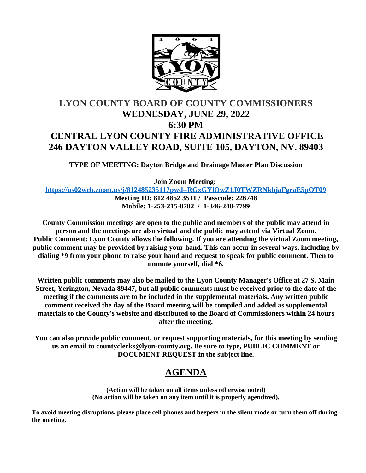

# **LYON COUNTY BOARD OF COUNTY COMMISSIONERS WEDNESDAY, JUNE 29, 2022 6:30 PM CENTRAL LYON COUNTY FIRE ADMINISTRATIVE OFFICE 246 DAYTON VALLEY ROAD, SUITE 105, DAYTON, NV. 89403**

**TYPE OF MEETING: Dayton Bridge and Drainage Master Plan Discussion**

**Join Zoom Meeting:** 

**<https://us02web.zoom.us/j/81248523511?pwd=RGxGYlQwZ1J0TWZRNkhjaFgraE5pQT09> Meeting ID: 812 4852 3511 / Passcode: 226748 Mobile: 1-253-215-8782 / 1-346-248-7799**

**County Commission meetings are open to the public and members of the public may attend in person and the meetings are also virtual and the public may attend via Virtual Zoom. Public Comment: Lyon County allows the following. If you are attending the virtual Zoom meeting, public comment may be provided by raising your hand. This can occur in several ways, including by dialing \*9 from your phone to raise your hand and request to speak for public comment. Then to unmute yourself, dial \*6.**

**Written public comments may also be mailed to the Lyon County Manager's Office at 27 S. Main Street, Yerington, Nevada 89447, but all public comments must be received prior to the date of the meeting if the comments are to be included in the supplemental materials. Any written public comment received the day of the Board meeting will be compiled and added as supplemental materials to the County's website and distributed to the Board of Commissioners within 24 hours after the meeting.**

**You can also provide public comment, or request supporting materials, for this meeting by sending us an email to countyclerks@lyon-county.org. Be sure to type, PUBLIC COMMENT or DOCUMENT REQUEST in the subject line.**

## **AGENDA**

**(Action will be taken on all items unless otherwise noted) (No action will be taken on any item until it is properly agendized).**

**To avoid meeting disruptions, please place cell phones and beepers in the silent mode or turn them off during the meeting.**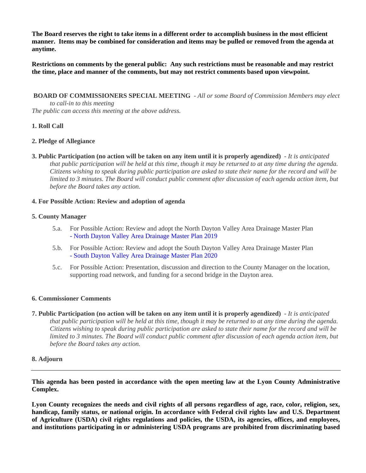**The Board reserves the right to take items in a different order to accomplish business in the most efficient manner. Items may be combined for consideration and items may be pulled or removed from the agenda at anytime.**

**Restrictions on comments by the general public: Any such restrictions must be reasonable and may restrict the time, place and manner of the comments, but may not restrict comments based upon viewpoint.**

 **BOARD OF COMMISSIONERS SPECIAL MEETING** - *All or some Board of Commission Members may elect to call-in to this meeting The public can access this meeting at the above address.*

### **1. Roll Call**

#### **2. Pledge of Allegiance**

**3. Public Participation (no action will be taken on any item until it is properly agendized)** - *It is anticipated*  that public participation will be held at this time, though it may be returned to at any time during the agenda. *Citizens wishing to speak during public participation are asked to state their name for the record and will be limited to 3 minutes. The Board will conduct public comment after discussion of each agenda action item, but before the Board takes any action.*

#### **4. For Possible Action: Review and adoption of agenda**

#### **5. County Manager**

- 5.a. For Possible Action: Review and adopt the North Dayton Valley Area Drainage Master Plan [- North Dayton Valley Area Drainage Master Plan 2019](https://legistarweb-production.s3.amazonaws.com/uploads/attachment/pdf/1435325/08.01.2019_NORTH_DAYTON_VALLEY_AREA_DRAINAGE_MASTER_PLAN_FINAL_DRAFT.pdf)
- 5.b. For Possible Action: Review and adopt the South Dayton Valley Area Drainage Master Plan [- South Dayton Valley Area Drainage Master Plan 2020](https://legistarweb-production.s3.amazonaws.com/uploads/attachment/pdf/1435327/SDVADMP_TSDN_Final_June_2020.pdf)
- 5.c. For Possible Action: Presentation, discussion and direction to the County Manager on the location, supporting road network, and funding for a second bridge in the Dayton area.

#### **6. Commissioner Comments**

**7. Public Participation (no action will be taken on any item until it is properly agendized)** - *It is anticipated that public participation will be held at this time, though it may be returned to at any time during the agenda. Citizens wishing to speak during public participation are asked to state their name for the record and will be limited to 3 minutes. The Board will conduct public comment after discussion of each agenda action item, but before the Board takes any action.*

#### **8. Adjourn**

**This agenda has been posted in accordance with the open meeting law at the Lyon County Administrative Complex.**

Lyon County recognizes the needs and civil rights of all persons regardless of age, race, color, religion, sex, **handicap, family status, or national origin. In accordance with Federal civil rights law and U.S. Department of Agriculture (USDA) civil rights regulations and policies, the USDA, its agencies, offices, and employees, and institutions participating in or administering USDA programs are prohibited from discriminating based**